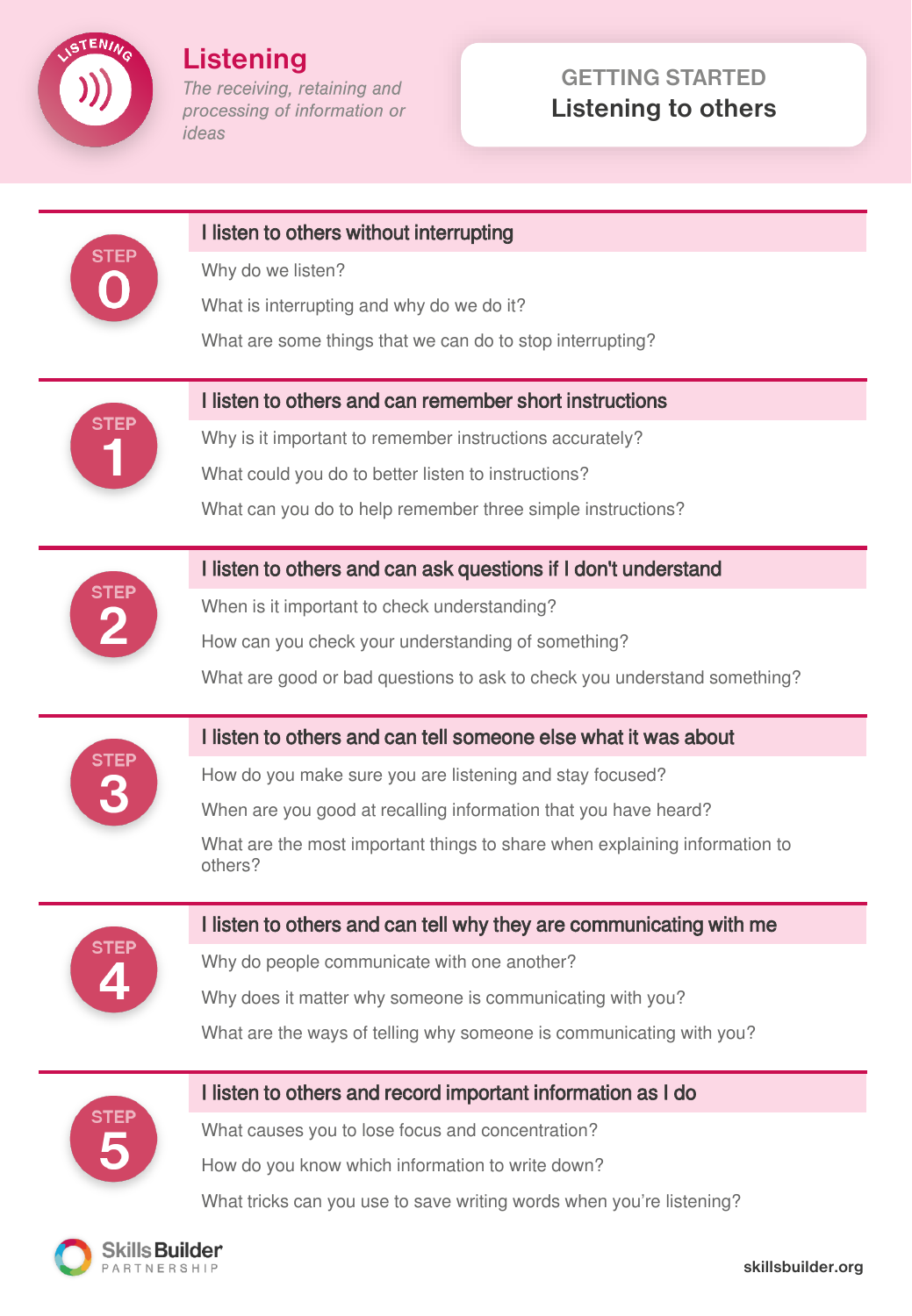

**Listening** The receiving, retaining and processing of information or

ideas

# **GETTING STARTED Listening to others**



## I listen to others without interrupting

Why do we listen?

What is interrupting and why do we do it?

What are some things that we can do to stop interrupting?



## I listen to others and can remember short instructions

Why is it important to remember instructions accurately? What could you do to better listen to instructions? What can you do to help remember three simple instructions?



## I listen to others and can ask questions if I don't understand

When is it important to check understanding?

How can you check your understanding of something?

What are good or bad questions to ask to check you understand something?



## I listen to others and can tell someone else what it was about

How do you make sure you are listening and stay focused?

When are you good at recalling information that you have heard?

What are the most important things to share when explaining information to others?



## I listen to others and can tell why they are communicating with me

Why do people communicate with one another? Why does it matter why someone is communicating with you?

What are the ways of telling why someone is communicating with you?



## I listen to others and record important information as I do

What causes you to lose focus and concentration?

How do you know which information to write down?

What tricks can you use to save writing words when you're listening?

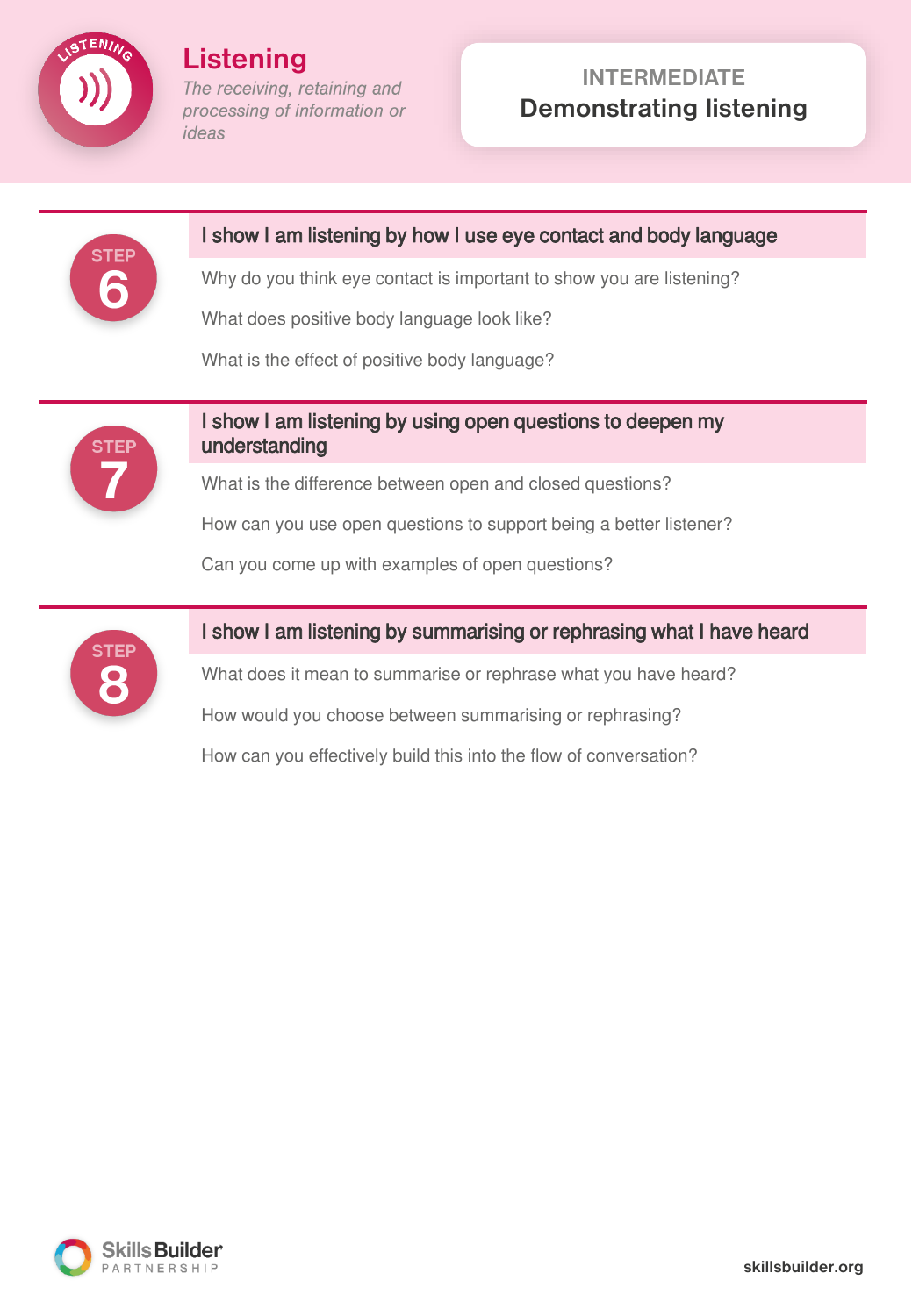

**Listening** The receiving, retaining and processing of information or ideas

# **INTERMEDIATE Demonstrating listening**



#### I show I am listening by how I use eye contact and body language

Why do you think eye contact is important to show you are listening?

What does positive body language look like?

What is the effect of positive body language?



### I show I am listening by using open questions to deepen my understanding

What is the difference between open and closed questions?

How can you use open questions to support being a better listener?

Can you come up with examples of open questions?



#### I show I am listening by summarising or rephrasing what I have heard

What does it mean to summarise or rephrase what you have heard?

How would you choose between summarising or rephrasing?

How can you effectively build this into the flow of conversation?

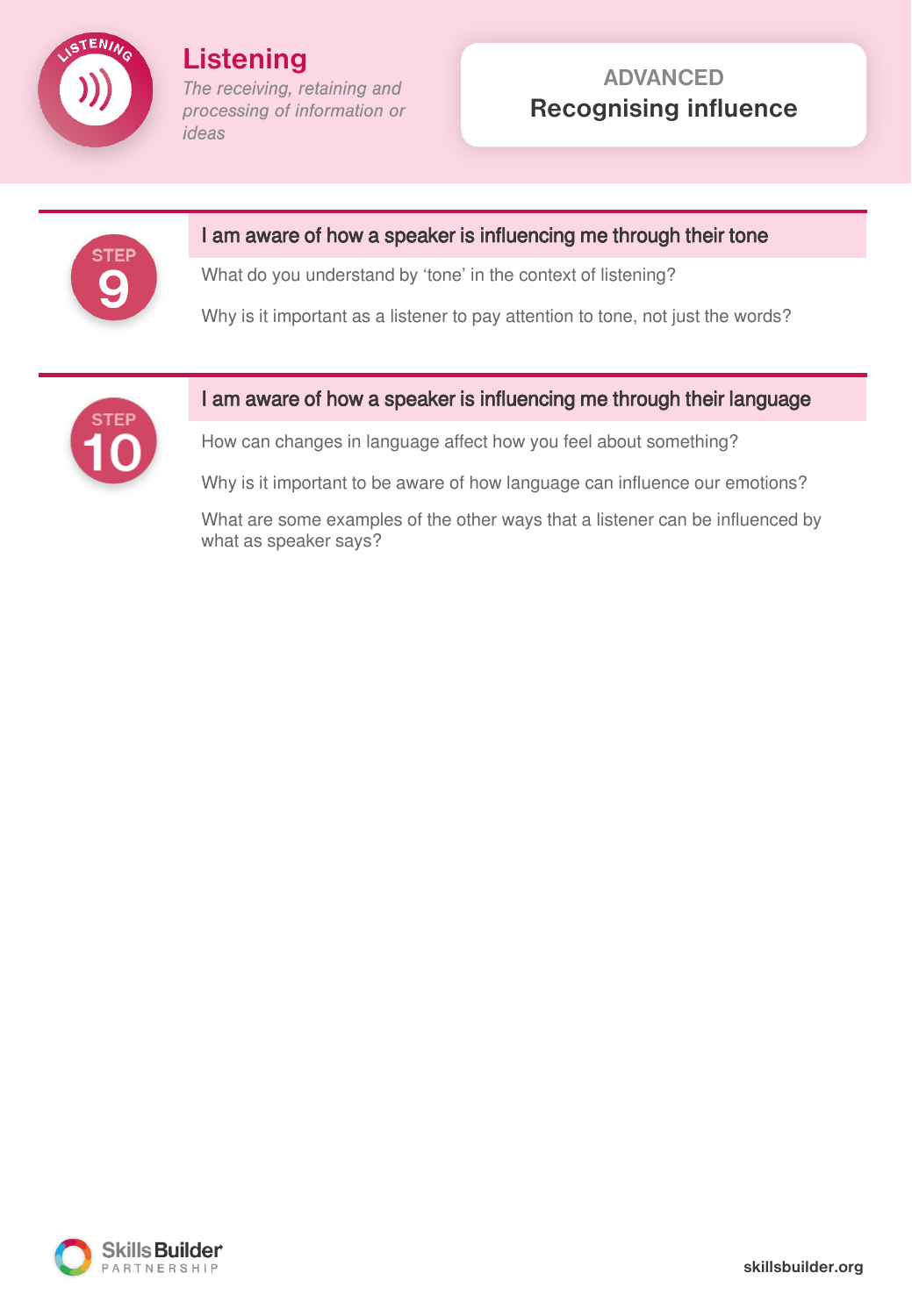

**Listening** The receiving, retaining and processing of information or ideas

# **ADVANCED Recognising influence**



#### I am aware of how a speaker is influencing me through their tone

What do you understand by 'tone' in the context of listening?

Why is it important as a listener to pay attention to tone, not just the words?



### I am aware of how a speaker is influencing me through their language

How can changes in language affect how you feel about something?

Why is it important to be aware of how language can influence our emotions?

What are some examples of the other ways that a listener can be influenced by what as speaker says?